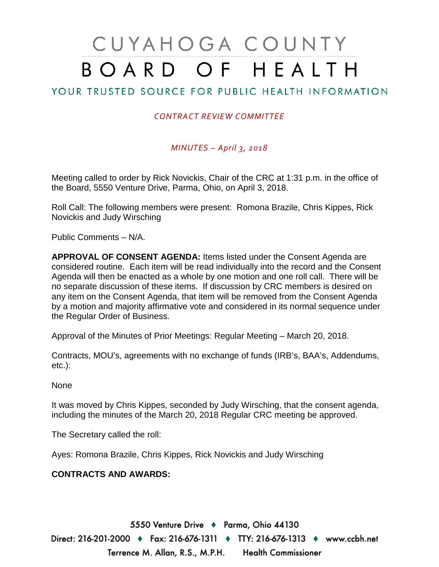# CUYAHOGA COUNTY BOARD OF HEALTH

## YOUR TRUSTED SOURCE FOR PUBLIC HEALTH INFORMATION

## *CONTRACT REVIEW COMMITTEE*

### *MINUTES – April 3, 2018*

Meeting called to order by Rick Novickis, Chair of the CRC at 1:31 p.m. in the office of the Board, 5550 Venture Drive, Parma, Ohio, on April 3, 2018.

Roll Call: The following members were present: Romona Brazile, Chris Kippes, Rick Novickis and Judy Wirsching

Public Comments – N/A.

**APPROVAL OF CONSENT AGENDA:** Items listed under the Consent Agenda are considered routine. Each item will be read individually into the record and the Consent Agenda will then be enacted as a whole by one motion and one roll call. There will be no separate discussion of these items. If discussion by CRC members is desired on any item on the Consent Agenda, that item will be removed from the Consent Agenda by a motion and majority affirmative vote and considered in its normal sequence under the Regular Order of Business.

Approval of the Minutes of Prior Meetings: Regular Meeting – March 20, 2018.

Contracts, MOU's, agreements with no exchange of funds (IRB's, BAA's, Addendums, etc.):

None

It was moved by Chris Kippes, seconded by Judy Wirsching, that the consent agenda, including the minutes of the March 20, 2018 Regular CRC meeting be approved.

The Secretary called the roll:

Ayes: Romona Brazile, Chris Kippes, Rick Novickis and Judy Wirsching

### **CONTRACTS AND AWARDS:**

5550 Venture Drive + Parma, Ohio 44130 Direct: 216-201-2000 ♦ Fax: 216-676-1311 ♦ TTY: 216-676-1313 ♦ www.ccbh.net Terrence M. Allan, R.S., M.P.H. Health Commissioner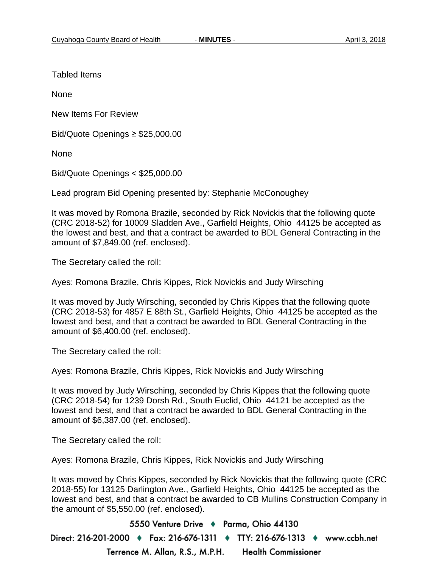Tabled Items

**None** 

New Items For Review

Bid/Quote Openings ≥ \$25,000.00

None

Bid/Quote Openings < \$25,000.00

Lead program Bid Opening presented by: Stephanie McConoughey

It was moved by Romona Brazile, seconded by Rick Novickis that the following quote (CRC 2018-52) for 10009 Sladden Ave., Garfield Heights, Ohio 44125 be accepted as the lowest and best, and that a contract be awarded to BDL General Contracting in the amount of \$7,849.00 (ref. enclosed).

The Secretary called the roll:

Ayes: Romona Brazile, Chris Kippes, Rick Novickis and Judy Wirsching

It was moved by Judy Wirsching, seconded by Chris Kippes that the following quote (CRC 2018-53) for 4857 E 88th St., Garfield Heights, Ohio 44125 be accepted as the lowest and best, and that a contract be awarded to BDL General Contracting in the amount of \$6,400.00 (ref. enclosed).

The Secretary called the roll:

Ayes: Romona Brazile, Chris Kippes, Rick Novickis and Judy Wirsching

It was moved by Judy Wirsching, seconded by Chris Kippes that the following quote (CRC 2018-54) for 1239 Dorsh Rd., South Euclid, Ohio 44121 be accepted as the lowest and best, and that a contract be awarded to BDL General Contracting in the amount of \$6,387.00 (ref. enclosed).

The Secretary called the roll:

Ayes: Romona Brazile, Chris Kippes, Rick Novickis and Judy Wirsching

It was moved by Chris Kippes, seconded by Rick Novickis that the following quote (CRC 2018-55) for 13125 Darlington Ave., Garfield Heights, Ohio 44125 be accepted as the lowest and best, and that a contract be awarded to CB Mullins Construction Company in the amount of \$5,550.00 (ref. enclosed).

5550 Venture Drive + Parma, Ohio 44130 Direct: 216-201-2000 ♦ Fax: 216-676-1311 ♦ TTY: 216-676-1313 ♦ www.ccbh.net Terrence M. Allan, R.S., M.P.H. **Health Commissioner**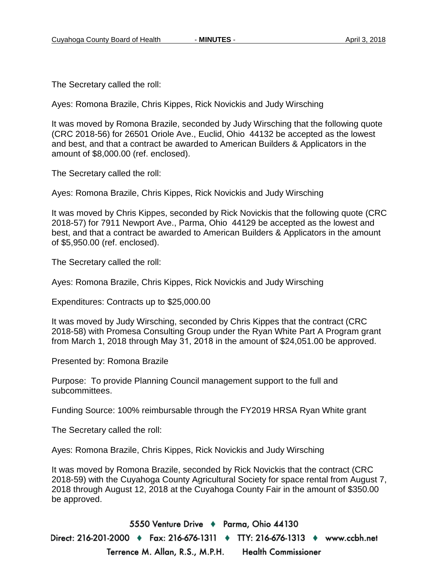The Secretary called the roll:

Ayes: Romona Brazile, Chris Kippes, Rick Novickis and Judy Wirsching

It was moved by Romona Brazile, seconded by Judy Wirsching that the following quote (CRC 2018-56) for 26501 Oriole Ave., Euclid, Ohio 44132 be accepted as the lowest and best, and that a contract be awarded to American Builders & Applicators in the amount of \$8,000.00 (ref. enclosed).

The Secretary called the roll:

Ayes: Romona Brazile, Chris Kippes, Rick Novickis and Judy Wirsching

It was moved by Chris Kippes, seconded by Rick Novickis that the following quote (CRC 2018-57) for 7911 Newport Ave., Parma, Ohio 44129 be accepted as the lowest and best, and that a contract be awarded to American Builders & Applicators in the amount of \$5,950.00 (ref. enclosed).

The Secretary called the roll:

Ayes: Romona Brazile, Chris Kippes, Rick Novickis and Judy Wirsching

Expenditures: Contracts up to \$25,000.00

It was moved by Judy Wirsching, seconded by Chris Kippes that the contract (CRC 2018-58) with Promesa Consulting Group under the Ryan White Part A Program grant from March 1, 2018 through May 31, 2018 in the amount of \$24,051.00 be approved.

Presented by: Romona Brazile

Purpose: To provide Planning Council management support to the full and subcommittees.

Funding Source: 100% reimbursable through the FY2019 HRSA Ryan White grant

The Secretary called the roll:

Ayes: Romona Brazile, Chris Kippes, Rick Novickis and Judy Wirsching

It was moved by Romona Brazile, seconded by Rick Novickis that the contract (CRC 2018-59) with the Cuyahoga County Agricultural Society for space rental from August 7, 2018 through August 12, 2018 at the Cuyahoga County Fair in the amount of \$350.00 be approved.

5550 Venture Drive + Parma, Ohio 44130 Direct: 216-201-2000 ♦ Fax: 216-676-1311 ♦ TTY: 216-676-1313 ♦ www.ccbh.net Terrence M. Allan, R.S., M.P.H. **Health Commissioner**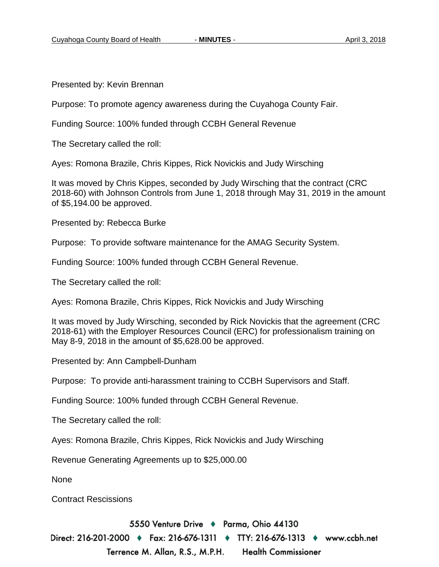Presented by: Kevin Brennan

Purpose: To promote agency awareness during the Cuyahoga County Fair.

Funding Source: 100% funded through CCBH General Revenue

The Secretary called the roll:

Ayes: Romona Brazile, Chris Kippes, Rick Novickis and Judy Wirsching

It was moved by Chris Kippes, seconded by Judy Wirsching that the contract (CRC 2018-60) with Johnson Controls from June 1, 2018 through May 31, 2019 in the amount of \$5,194.00 be approved.

Presented by: Rebecca Burke

Purpose: To provide software maintenance for the AMAG Security System.

Funding Source: 100% funded through CCBH General Revenue.

The Secretary called the roll:

Ayes: Romona Brazile, Chris Kippes, Rick Novickis and Judy Wirsching

It was moved by Judy Wirsching, seconded by Rick Novickis that the agreement (CRC 2018-61) with the Employer Resources Council (ERC) for professionalism training on May 8-9, 2018 in the amount of \$5,628.00 be approved.

Presented by: Ann Campbell-Dunham

Purpose: To provide anti-harassment training to CCBH Supervisors and Staff.

Funding Source: 100% funded through CCBH General Revenue.

The Secretary called the roll:

Ayes: Romona Brazile, Chris Kippes, Rick Novickis and Judy Wirsching

Revenue Generating Agreements up to \$25,000.00

None

Contract Rescissions

5550 Venture Drive + Parma, Ohio 44130

Direct: 216-201-2000 ♦ Fax: 216-676-1311 ♦ TTY: 216-676-1313 ♦ www.ccbh.net Terrence M. Allan, R.S., M.P.H. **Health Commissioner**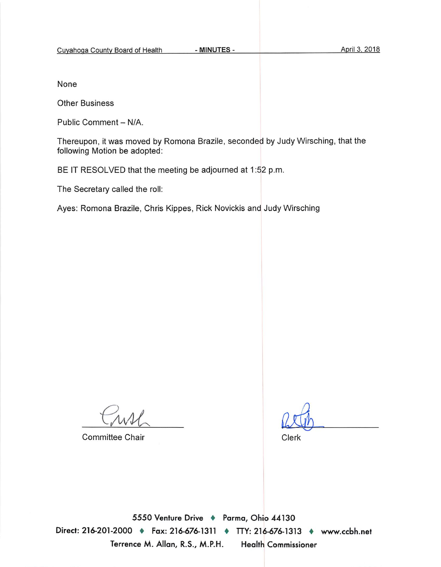None

**Other Business** 

Public Comment - N/A.

Thereupon, it was moved by Romona Brazile, seconded by Judy Wirsching, that the following Motion be adopted:

BE IT RESOLVED that the meeting be adjourned at 1:52 p.m.

The Secretary called the roll:

Ayes: Romona Brazile, Chris Kippes, Rick Novickis and Judy Wirsching

**Committee Chair** 

Clerk

5550 Venture Drive + Parma, Ohio 44130 Direct: 216-201-2000 ♦ Fax: 216-676-1311 ♦ TTY: 216-676-1313 ♦ www.ccbh.net Terrence M. Allan, R.S., M.P.H. **Health Commissioner**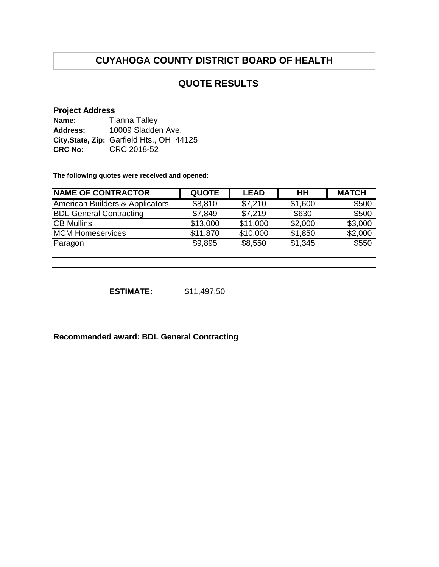## **QUOTE RESULTS**

#### **Project Address**

| Name:          | <b>Tianna Talley</b>                      |
|----------------|-------------------------------------------|
| Address:       | 10009 Sladden Ave.                        |
|                | City, State, Zip: Garfield Hts., OH 44125 |
| <b>CRC No:</b> | CRC 2018-52                               |

**The following quotes were received and opened:**

| <b>NAME OF CONTRACTOR</b>       | <b>QUOTE</b> | <b>LEAD</b> | HH      | <b>MATCH</b> |
|---------------------------------|--------------|-------------|---------|--------------|
| American Builders & Applicators | \$8,810      | \$7,210     | \$1,600 | \$500        |
| <b>BDL General Contracting</b>  | \$7,849      | \$7,219     | \$630   | \$500        |
| <b>CB Mullins</b>               | \$13,000     | \$11,000    | \$2,000 | \$3,000      |
| <b>MCM Homeservices</b>         | \$11,870     | \$10,000    | \$1,850 | \$2,000      |
| Paragon                         | \$9,895      | \$8,550     | \$1,345 | \$550        |
|                                 |              |             |         |              |
|                                 |              |             |         |              |

**ESTIMATE:** \$11,497.50

**Recommended award: BDL General Contracting**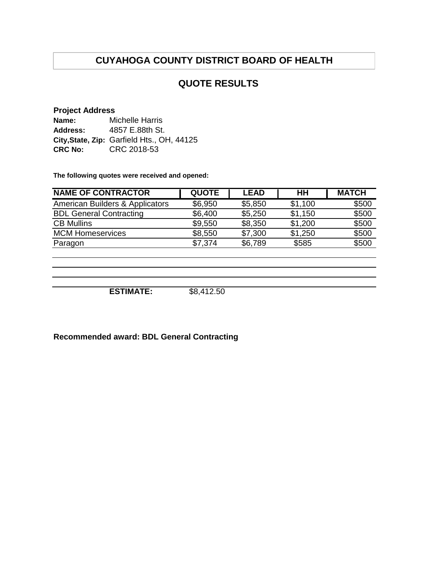## **QUOTE RESULTS**

#### **Project Address**

| Name:           | Michelle Harris                            |
|-----------------|--------------------------------------------|
| <b>Address:</b> | 4857 E.88th St.                            |
|                 | City, State, Zip: Garfield Hts., OH, 44125 |
| <b>CRC No:</b>  | CRC 2018-53                                |

**The following quotes were received and opened:**

| <b>NAME OF CONTRACTOR</b>       | <b>QUOTE</b> | <b>LEAD</b> | HH      | <b>MATCH</b> |
|---------------------------------|--------------|-------------|---------|--------------|
| American Builders & Applicators | \$6,950      | \$5,850     | \$1,100 | \$500        |
| <b>BDL General Contracting</b>  | \$6,400      | \$5,250     | \$1,150 | \$500        |
| <b>CB Mullins</b>               | \$9,550      | \$8,350     | \$1,200 | \$500        |
| <b>MCM Homeservices</b>         | \$8,550      | \$7,300     | \$1,250 | \$500        |
| Paragon                         | \$7,374      | \$6,789     | \$585   | \$500        |
|                                 |              |             |         |              |
|                                 |              |             |         |              |
|                                 |              |             |         |              |

**ESTIMATE:** \$8,412.50

**Recommended award: BDL General Contracting**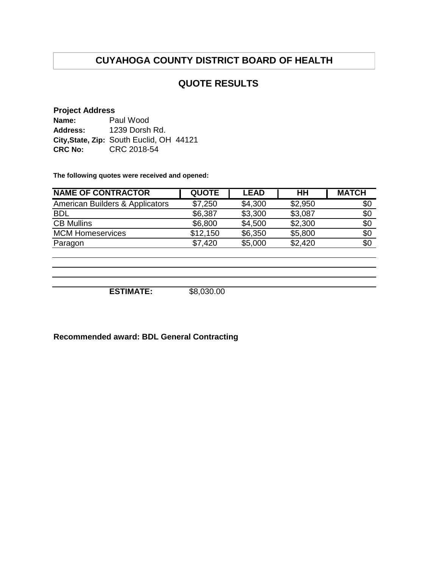## **QUOTE RESULTS**

#### **Project Address**

| Name:           | Paul Wood                                |
|-----------------|------------------------------------------|
| <b>Address:</b> | 1239 Dorsh Rd.                           |
|                 | City, State, Zip: South Euclid, OH 44121 |
| <b>CRC No:</b>  | CRC 2018-54                              |

**The following quotes were received and opened:**

| <b>QUOTE</b> | <b>LEAD</b> | HН      | <b>MATCH</b> |
|--------------|-------------|---------|--------------|
| \$7,250      | \$4,300     | \$2,950 | \$0          |
| \$6,387      | \$3,300     | \$3,087 | \$0          |
| \$6,800      | \$4,500     | \$2,300 | \$0          |
| \$12,150     | \$6,350     | \$5,800 | \$0          |
| \$7,420      | \$5,000     | \$2,420 | \$0          |
|              |             |         |              |
|              |             |         |              |
|              |             |         |              |
|              |             |         |              |

**ESTIMATE:** \$8,030.00

**Recommended award: BDL General Contracting**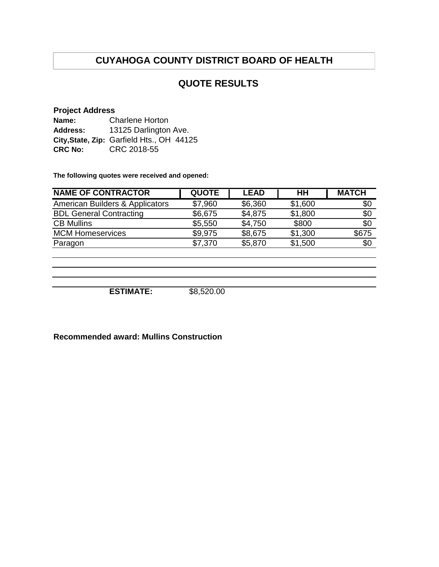## **QUOTE RESULTS**

#### **Project Address**

| Name:          | <b>Charlene Horton</b>                    |
|----------------|-------------------------------------------|
| Address:       | 13125 Darlington Ave.                     |
|                | City, State, Zip: Garfield Hts., OH 44125 |
| <b>CRC No:</b> | CRC 2018-55                               |

**The following quotes were received and opened:**

| <b>NAME OF CONTRACTOR</b>       | <b>QUOTE</b> | <b>LEAD</b> | HH      | <b>MATCH</b> |
|---------------------------------|--------------|-------------|---------|--------------|
| American Builders & Applicators | \$7,960      | \$6,360     | \$1,600 | \$0          |
| <b>BDL General Contracting</b>  | \$6,675      | \$4,875     | \$1,800 | \$0          |
| <b>CB Mullins</b>               | \$5,550      | \$4,750     | \$800   | \$0          |
| <b>MCM Homeservices</b>         | \$9,975      | \$8,675     | \$1,300 | \$675        |
| Paragon                         | \$7,370      | \$5,870     | \$1,500 | \$0          |
|                                 |              |             |         |              |
|                                 |              |             |         |              |
|                                 |              |             |         |              |

**ESTIMATE:** \$8,520.00

**Recommended award: Mullins Construction**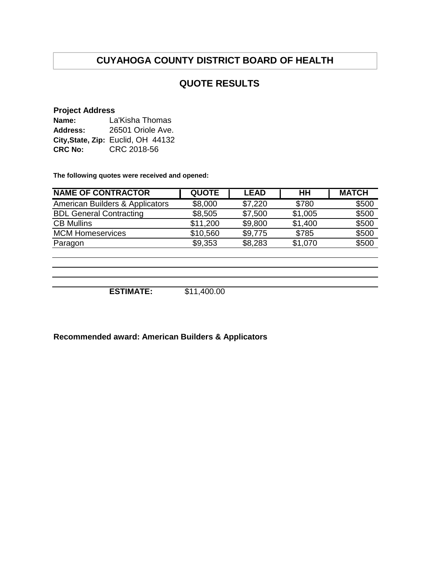## **QUOTE RESULTS**

#### **Project Address**

| Name:          | La'Kisha Thomas                    |  |  |  |
|----------------|------------------------------------|--|--|--|
| Address:       | 26501 Oriole Ave.                  |  |  |  |
|                | City, State, Zip: Euclid, OH 44132 |  |  |  |
| <b>CRC No:</b> | CRC 2018-56                        |  |  |  |

**The following quotes were received and opened:**

| <b>NAME OF CONTRACTOR</b>       | <b>QUOTE</b> | <b>LEAD</b> | HH      | <b>MATCH</b> |
|---------------------------------|--------------|-------------|---------|--------------|
| American Builders & Applicators | \$8,000      | \$7,220     | \$780   | \$500        |
| <b>BDL General Contracting</b>  | \$8,505      | \$7,500     | \$1,005 | \$500        |
| <b>CB Mullins</b>               | \$11,200     | \$9,800     | \$1,400 | \$500        |
| <b>MCM Homeservices</b>         | \$10,560     | \$9,775     | \$785   | \$500        |
| Paragon                         | \$9,353      | \$8,283     | \$1,070 | \$500        |
|                                 |              |             |         |              |
|                                 |              |             |         |              |
|                                 |              |             |         |              |
|                                 |              |             |         |              |
| <b>ESTIMATE:</b>                | \$11,400.00  |             |         |              |

**Recommended award: American Builders & Applicators**